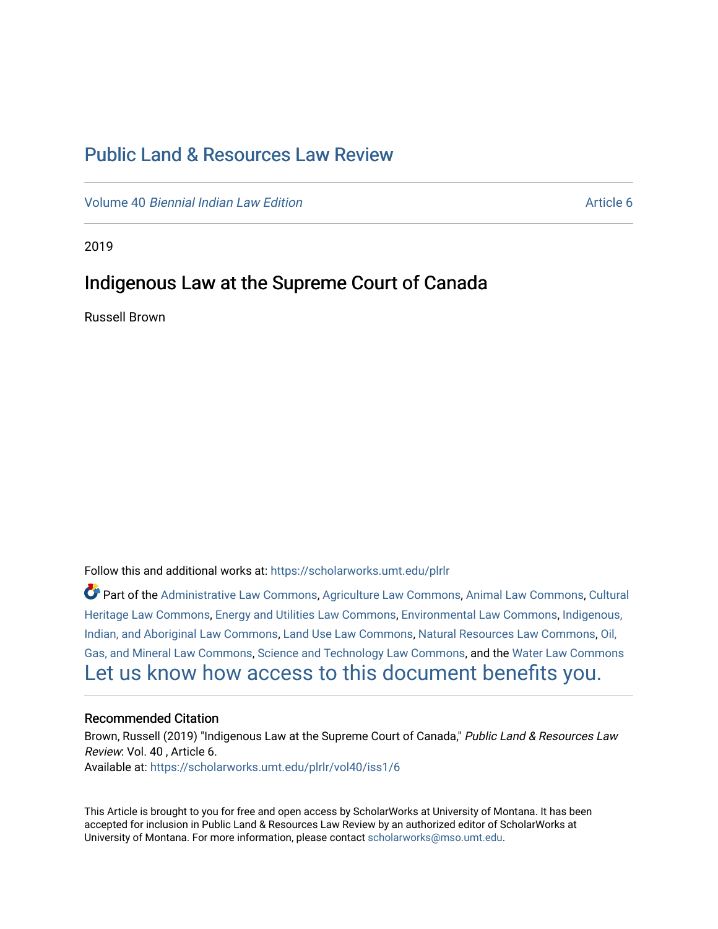# [Public Land & Resources Law Review](https://scholarworks.umt.edu/plrlr)

Volume 40 [Biennial Indian Law Edition](https://scholarworks.umt.edu/plrlr/vol40) Article 6

2019

## Indigenous Law at the Supreme Court of Canada

Russell Brown

Follow this and additional works at: [https://scholarworks.umt.edu/plrlr](https://scholarworks.umt.edu/plrlr?utm_source=scholarworks.umt.edu%2Fplrlr%2Fvol40%2Fiss1%2F6&utm_medium=PDF&utm_campaign=PDFCoverPages) 

Part of the [Administrative Law Commons,](http://network.bepress.com/hgg/discipline/579?utm_source=scholarworks.umt.edu%2Fplrlr%2Fvol40%2Fiss1%2F6&utm_medium=PDF&utm_campaign=PDFCoverPages) [Agriculture Law Commons](http://network.bepress.com/hgg/discipline/581?utm_source=scholarworks.umt.edu%2Fplrlr%2Fvol40%2Fiss1%2F6&utm_medium=PDF&utm_campaign=PDFCoverPages), [Animal Law Commons](http://network.bepress.com/hgg/discipline/831?utm_source=scholarworks.umt.edu%2Fplrlr%2Fvol40%2Fiss1%2F6&utm_medium=PDF&utm_campaign=PDFCoverPages), [Cultural](http://network.bepress.com/hgg/discipline/1384?utm_source=scholarworks.umt.edu%2Fplrlr%2Fvol40%2Fiss1%2F6&utm_medium=PDF&utm_campaign=PDFCoverPages)  [Heritage Law Commons](http://network.bepress.com/hgg/discipline/1384?utm_source=scholarworks.umt.edu%2Fplrlr%2Fvol40%2Fiss1%2F6&utm_medium=PDF&utm_campaign=PDFCoverPages), [Energy and Utilities Law Commons,](http://network.bepress.com/hgg/discipline/891?utm_source=scholarworks.umt.edu%2Fplrlr%2Fvol40%2Fiss1%2F6&utm_medium=PDF&utm_campaign=PDFCoverPages) [Environmental Law Commons](http://network.bepress.com/hgg/discipline/599?utm_source=scholarworks.umt.edu%2Fplrlr%2Fvol40%2Fiss1%2F6&utm_medium=PDF&utm_campaign=PDFCoverPages), [Indigenous,](http://network.bepress.com/hgg/discipline/894?utm_source=scholarworks.umt.edu%2Fplrlr%2Fvol40%2Fiss1%2F6&utm_medium=PDF&utm_campaign=PDFCoverPages)  [Indian, and Aboriginal Law Commons](http://network.bepress.com/hgg/discipline/894?utm_source=scholarworks.umt.edu%2Fplrlr%2Fvol40%2Fiss1%2F6&utm_medium=PDF&utm_campaign=PDFCoverPages), [Land Use Law Commons](http://network.bepress.com/hgg/discipline/852?utm_source=scholarworks.umt.edu%2Fplrlr%2Fvol40%2Fiss1%2F6&utm_medium=PDF&utm_campaign=PDFCoverPages), [Natural Resources Law Commons](http://network.bepress.com/hgg/discipline/863?utm_source=scholarworks.umt.edu%2Fplrlr%2Fvol40%2Fiss1%2F6&utm_medium=PDF&utm_campaign=PDFCoverPages), [Oil,](http://network.bepress.com/hgg/discipline/864?utm_source=scholarworks.umt.edu%2Fplrlr%2Fvol40%2Fiss1%2F6&utm_medium=PDF&utm_campaign=PDFCoverPages) [Gas, and Mineral Law Commons](http://network.bepress.com/hgg/discipline/864?utm_source=scholarworks.umt.edu%2Fplrlr%2Fvol40%2Fiss1%2F6&utm_medium=PDF&utm_campaign=PDFCoverPages), [Science and Technology Law Commons,](http://network.bepress.com/hgg/discipline/875?utm_source=scholarworks.umt.edu%2Fplrlr%2Fvol40%2Fiss1%2F6&utm_medium=PDF&utm_campaign=PDFCoverPages) and the [Water Law Commons](http://network.bepress.com/hgg/discipline/887?utm_source=scholarworks.umt.edu%2Fplrlr%2Fvol40%2Fiss1%2F6&utm_medium=PDF&utm_campaign=PDFCoverPages) [Let us know how access to this document benefits you.](https://goo.gl/forms/s2rGfXOLzz71qgsB2) 

#### Recommended Citation

Brown, Russell (2019) "Indigenous Law at the Supreme Court of Canada," Public Land & Resources Law Review: Vol. 40 , Article 6. Available at: [https://scholarworks.umt.edu/plrlr/vol40/iss1/6](https://scholarworks.umt.edu/plrlr/vol40/iss1/6?utm_source=scholarworks.umt.edu%2Fplrlr%2Fvol40%2Fiss1%2F6&utm_medium=PDF&utm_campaign=PDFCoverPages)

This Article is brought to you for free and open access by ScholarWorks at University of Montana. It has been accepted for inclusion in Public Land & Resources Law Review by an authorized editor of ScholarWorks at University of Montana. For more information, please contact [scholarworks@mso.umt.edu.](mailto:scholarworks@mso.umt.edu)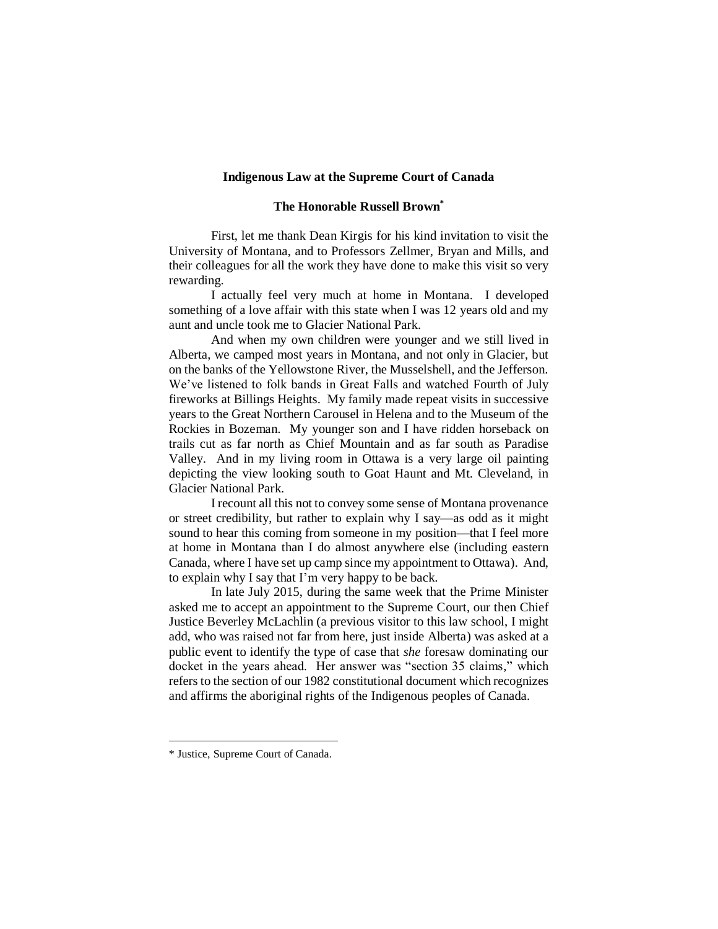#### **Indigenous Law at the Supreme Court of Canada**

### **The Honorable Russell Brown\***

First, let me thank Dean Kirgis for his kind invitation to visit the University of Montana, and to Professors Zellmer, Bryan and Mills, and their colleagues for all the work they have done to make this visit so very rewarding.

I actually feel very much at home in Montana. I developed something of a love affair with this state when I was 12 years old and my aunt and uncle took me to Glacier National Park.

And when my own children were younger and we still lived in Alberta, we camped most years in Montana, and not only in Glacier, but on the banks of the Yellowstone River, the Musselshell, and the Jefferson. We've listened to folk bands in Great Falls and watched Fourth of July fireworks at Billings Heights. My family made repeat visits in successive years to the Great Northern Carousel in Helena and to the Museum of the Rockies in Bozeman. My younger son and I have ridden horseback on trails cut as far north as Chief Mountain and as far south as Paradise Valley. And in my living room in Ottawa is a very large oil painting depicting the view looking south to Goat Haunt and Mt. Cleveland, in Glacier National Park.

I recount all this not to convey some sense of Montana provenance or street credibility, but rather to explain why I say—as odd as it might sound to hear this coming from someone in my position—that I feel more at home in Montana than I do almost anywhere else (including eastern Canada, where I have set up camp since my appointment to Ottawa). And, to explain why I say that I'm very happy to be back.

In late July 2015, during the same week that the Prime Minister asked me to accept an appointment to the Supreme Court, our then Chief Justice Beverley McLachlin (a previous visitor to this law school, I might add, who was raised not far from here, just inside Alberta) was asked at a public event to identify the type of case that *she* foresaw dominating our docket in the years ahead. Her answer was "section 35 claims," which refers to the section of our 1982 constitutional document which recognizes and affirms the aboriginal rights of the Indigenous peoples of Canada.

<sup>\*</sup> Justice, Supreme Court of Canada.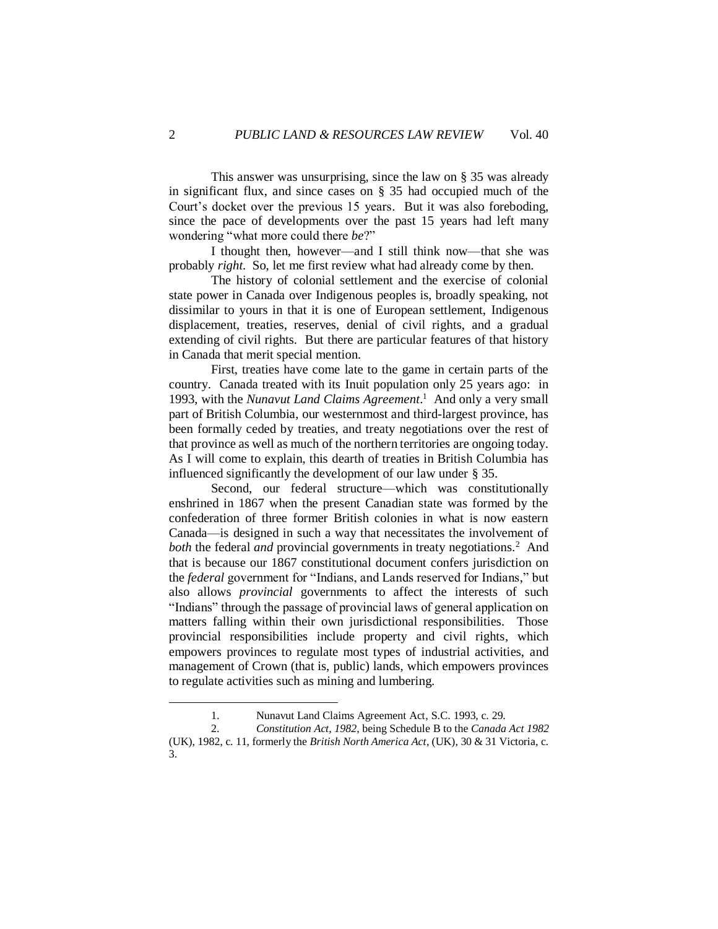This answer was unsurprising, since the law on § 35 was already in significant flux, and since cases on § 35 had occupied much of the Court's docket over the previous 15 years. But it was also foreboding, since the pace of developments over the past 15 years had left many wondering "what more could there *be*?"

I thought then, however—and I still think now—that she was probably *right*. So, let me first review what had already come by then.

The history of colonial settlement and the exercise of colonial state power in Canada over Indigenous peoples is, broadly speaking, not dissimilar to yours in that it is one of European settlement, Indigenous displacement, treaties, reserves, denial of civil rights, and a gradual extending of civil rights. But there are particular features of that history in Canada that merit special mention.

First, treaties have come late to the game in certain parts of the country. Canada treated with its Inuit population only 25 years ago: in 1993, with the *Nunavut Land Claims Agreement*. 1 And only a very small part of British Columbia, our westernmost and third-largest province, has been formally ceded by treaties, and treaty negotiations over the rest of that province as well as much of the northern territories are ongoing today. As I will come to explain, this dearth of treaties in British Columbia has influenced significantly the development of our law under § 35.

Second, our federal structure—which was constitutionally enshrined in 1867 when the present Canadian state was formed by the confederation of three former British colonies in what is now eastern Canada—is designed in such a way that necessitates the involvement of both the federal *and* provincial governments in treaty negotiations.<sup>2</sup> And that is because our 1867 constitutional document confers jurisdiction on the *federal* government for "Indians, and Lands reserved for Indians," but also allows *provincial* governments to affect the interests of such "Indians" through the passage of provincial laws of general application on matters falling within their own jurisdictional responsibilities. Those provincial responsibilities include property and civil rights, which empowers provinces to regulate most types of industrial activities, and management of Crown (that is, public) lands, which empowers provinces to regulate activities such as mining and lumbering.

<sup>1.</sup> Nunavut Land Claims Agreement Act, S.C. 1993, c. 29.

<sup>2.</sup> *Constitution Act, 1982*, being Schedule B to the *Canada Act 1982* (UK), 1982, c. 11, formerly the *British North America Act*, (UK), 30 & 31 Victoria, c. 3.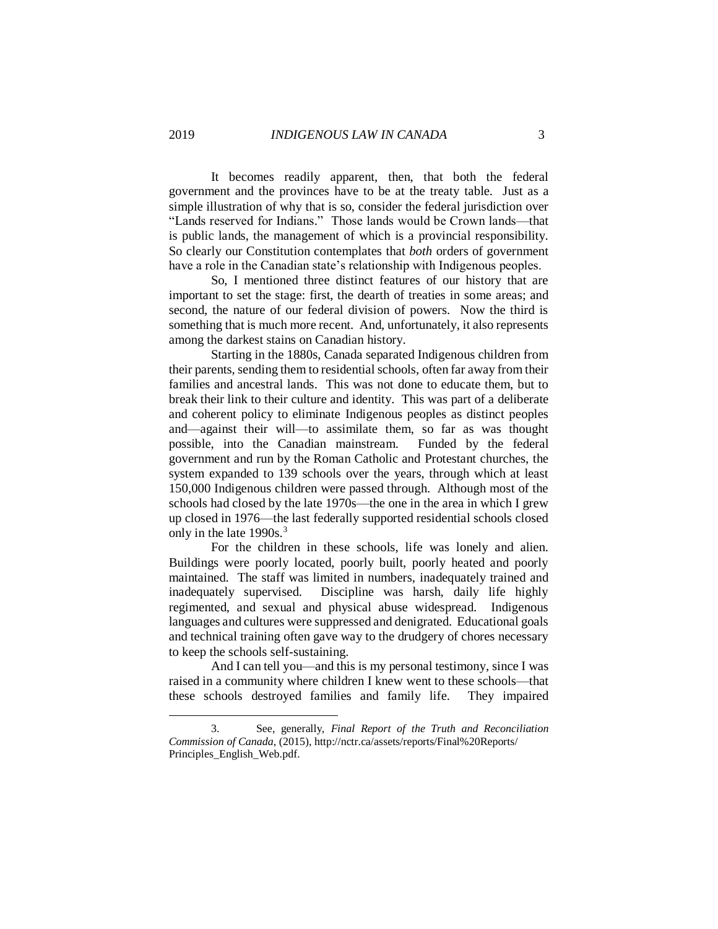It becomes readily apparent, then, that both the federal government and the provinces have to be at the treaty table. Just as a simple illustration of why that is so, consider the federal jurisdiction over "Lands reserved for Indians." Those lands would be Crown lands—that is public lands, the management of which is a provincial responsibility. So clearly our Constitution contemplates that *both* orders of government have a role in the Canadian state's relationship with Indigenous peoples.

So, I mentioned three distinct features of our history that are important to set the stage: first, the dearth of treaties in some areas; and second, the nature of our federal division of powers. Now the third is something that is much more recent. And, unfortunately, it also represents among the darkest stains on Canadian history.

Starting in the 1880s, Canada separated Indigenous children from their parents, sending them to residential schools, often far away from their families and ancestral lands. This was not done to educate them, but to break their link to their culture and identity. This was part of a deliberate and coherent policy to eliminate Indigenous peoples as distinct peoples and—against their will—to assimilate them, so far as was thought possible, into the Canadian mainstream. Funded by the federal government and run by the Roman Catholic and Protestant churches, the system expanded to 139 schools over the years, through which at least 150,000 Indigenous children were passed through. Although most of the schools had closed by the late 1970s—the one in the area in which I grew up closed in 1976—the last federally supported residential schools closed only in the late 1990s.<sup>3</sup>

For the children in these schools, life was lonely and alien. Buildings were poorly located, poorly built, poorly heated and poorly maintained. The staff was limited in numbers, inadequately trained and inadequately supervised. Discipline was harsh, daily life highly regimented, and sexual and physical abuse widespread. Indigenous languages and cultures were suppressed and denigrated. Educational goals and technical training often gave way to the drudgery of chores necessary to keep the schools self-sustaining.

And I can tell you—and this is my personal testimony, since I was raised in a community where children I knew went to these schools—that these schools destroyed families and family life. They impaired

<sup>3.</sup> See, generally, *Final Report of the Truth and Reconciliation Commission of Canada*, (2015), [http://nctr.ca/assets/reports/Final%20Reports/](http://nctr.ca/assets/reports/Final%20Reports/Principles_English_Web.pdf) [Principles\\_English\\_Web.pdf.](http://nctr.ca/assets/reports/Final%20Reports/Principles_English_Web.pdf)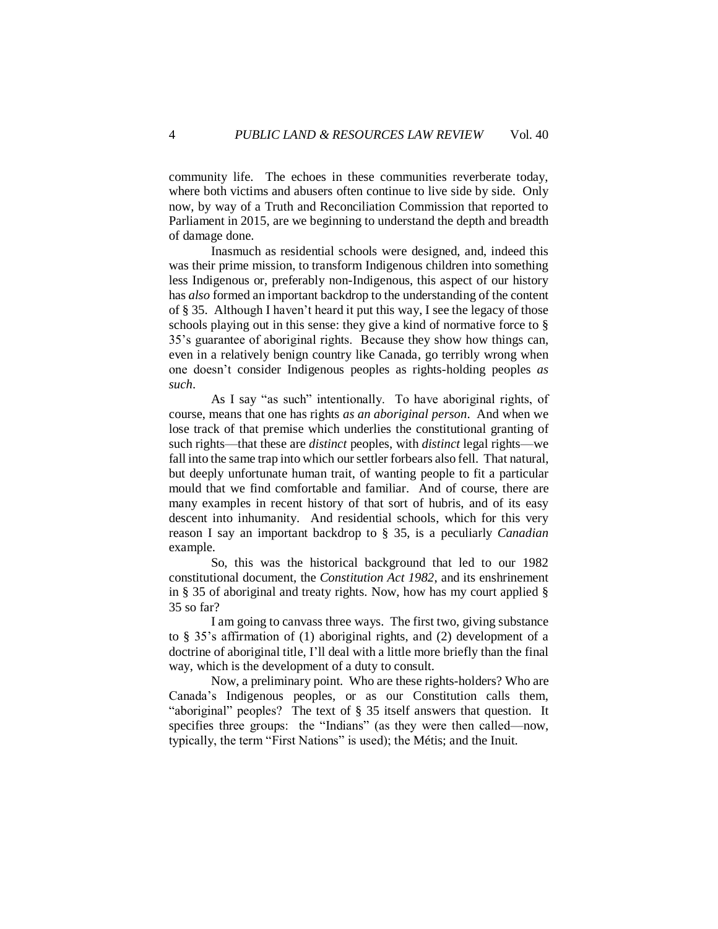community life. The echoes in these communities reverberate today, where both victims and abusers often continue to live side by side. Only now, by way of a Truth and Reconciliation Commission that reported to Parliament in 2015, are we beginning to understand the depth and breadth of damage done.

Inasmuch as residential schools were designed, and, indeed this was their prime mission, to transform Indigenous children into something less Indigenous or, preferably non-Indigenous, this aspect of our history has *also* formed an important backdrop to the understanding of the content of § 35. Although I haven't heard it put this way, I see the legacy of those schools playing out in this sense: they give a kind of normative force to § 35's guarantee of aboriginal rights. Because they show how things can, even in a relatively benign country like Canada, go terribly wrong when one doesn't consider Indigenous peoples as rights-holding peoples *as such*.

As I say "as such" intentionally. To have aboriginal rights, of course, means that one has rights *as an aboriginal person*. And when we lose track of that premise which underlies the constitutional granting of such rights—that these are *distinct* peoples, with *distinct* legal rights—we fall into the same trap into which our settler forbears also fell. That natural, but deeply unfortunate human trait, of wanting people to fit a particular mould that we find comfortable and familiar. And of course, there are many examples in recent history of that sort of hubris, and of its easy descent into inhumanity. And residential schools, which for this very reason I say an important backdrop to § 35, is a peculiarly *Canadian* example.

So, this was the historical background that led to our 1982 constitutional document, the *Constitution Act 1982*, and its enshrinement in § 35 of aboriginal and treaty rights. Now, how has my court applied § 35 so far?

I am going to canvass three ways. The first two, giving substance to § 35's affirmation of (1) aboriginal rights, and (2) development of a doctrine of aboriginal title, I'll deal with a little more briefly than the final way, which is the development of a duty to consult.

Now, a preliminary point. Who are these rights-holders? Who are Canada's Indigenous peoples, or as our Constitution calls them, "aboriginal" peoples? The text of § 35 itself answers that question. It specifies three groups: the "Indians" (as they were then called—now, typically, the term "First Nations" is used); the Métis; and the Inuit.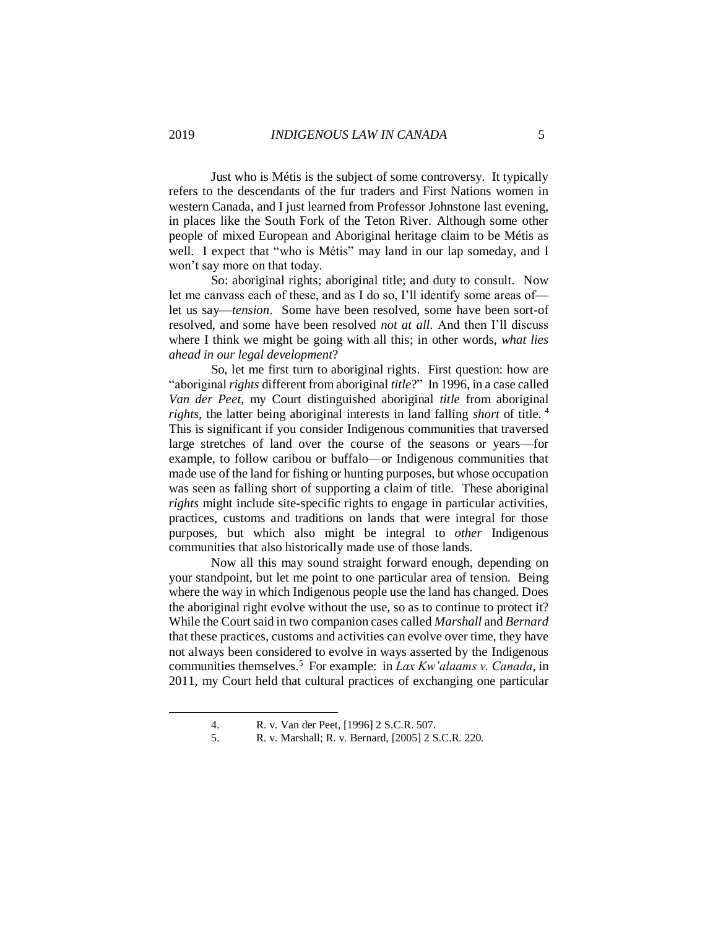Just who is Métis is the subject of some controversy. It typically refers to the descendants of the fur traders and First Nations women in western Canada, and I just learned from Professor Johnstone last evening, in places like the South Fork of the Teton River. Although some other people of mixed European and Aboriginal heritage claim to be Métis as well. I expect that "who is Métis" may land in our lap someday, and I won't say more on that today.

So: aboriginal rights; aboriginal title; and duty to consult. Now let me canvass each of these, and as I do so, I'll identify some areas of let us say—*tension*. Some have been resolved, some have been sort-of resolved, and some have been resolved *not at all*. And then I'll discuss where I think we might be going with all this; in other words, *what lies ahead in our legal development*?

So, let me first turn to aboriginal rights. First question: how are "aboriginal *rights* different from aboriginal *title*?" In 1996, in a case called *Van der Peet*, my Court distinguished aboriginal *title* from aboriginal *rights*, the latter being aboriginal interests in land falling *short* of title. <sup>4</sup> This is significant if you consider Indigenous communities that traversed large stretches of land over the course of the seasons or years—for example, to follow caribou or buffalo—or Indigenous communities that made use of the land for fishing or hunting purposes, but whose occupation was seen as falling short of supporting a claim of title. These aboriginal *rights* might include site-specific rights to engage in particular activities, practices, customs and traditions on lands that were integral for those purposes, but which also might be integral to *other* Indigenous communities that also historically made use of those lands.

Now all this may sound straight forward enough, depending on your standpoint, but let me point to one particular area of tension. Being where the way in which Indigenous people use the land has changed. Does the aboriginal right evolve without the use, so as to continue to protect it? While the Court said in two companion cases called *Marshall* and *Bernard*  that these practices, customs and activities can evolve over time, they have not always been considered to evolve in ways asserted by the Indigenous communities themselves.<sup>5</sup> For example: in *Lax Kw'alaams v. Canada*, in 2011, my Court held that cultural practices of exchanging one particular

<sup>4.</sup> R. v. Van der Peet*,* [1996] 2 S.C.R. 507.

<sup>5.</sup> R. v. Marshall; R. v. Bernard, [2005] 2 S.C.R. 220.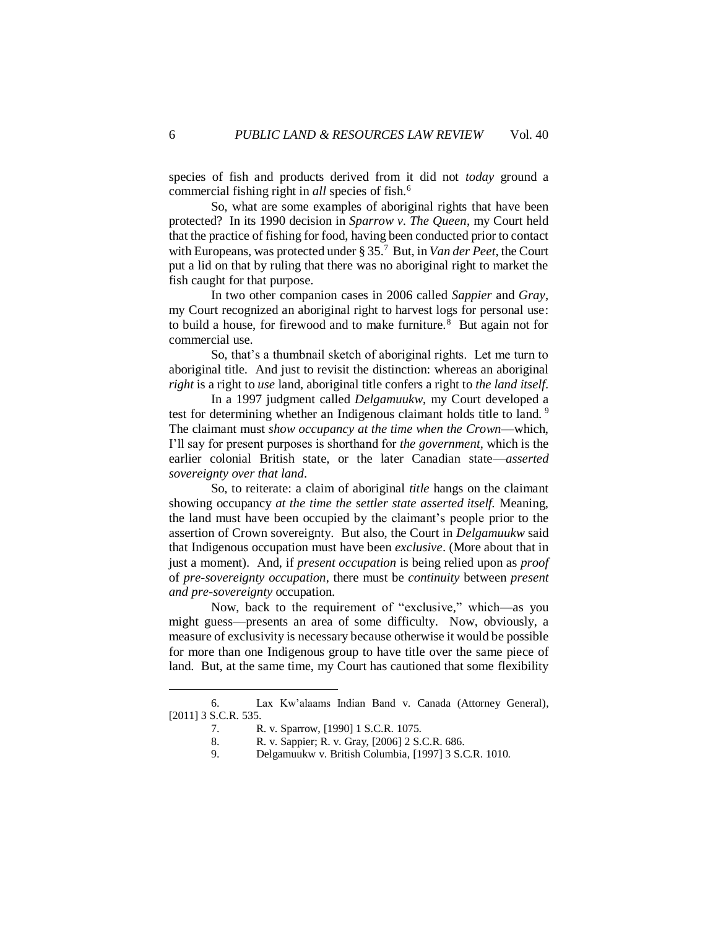species of fish and products derived from it did not *today* ground a commercial fishing right in *all* species of fish.<sup>6</sup>

So, what are some examples of aboriginal rights that have been protected? In its 1990 decision in *Sparrow v. The Queen*, my Court held that the practice of fishing for food, having been conducted prior to contact with Europeans, was protected under § 35.<sup>7</sup> But, in *Van der Peet*, the Court put a lid on that by ruling that there was no aboriginal right to market the fish caught for that purpose.

In two other companion cases in 2006 called *Sappier* and *Gray*, my Court recognized an aboriginal right to harvest logs for personal use: to build a house, for firewood and to make furniture. $8$  But again not for commercial use.

So, that's a thumbnail sketch of aboriginal rights. Let me turn to aboriginal title. And just to revisit the distinction: whereas an aboriginal *right* is a right to *use* land, aboriginal title confers a right to *the land itself*.

In a 1997 judgment called *Delgamuukw*, my Court developed a test for determining whether an Indigenous claimant holds title to land.<sup>9</sup> The claimant must *show occupancy at the time when the Crown*—which, I'll say for present purposes is shorthand for *the government*, which is the earlier colonial British state, or the later Canadian state—*asserted sovereignty over that land*.

So, to reiterate: a claim of aboriginal *title* hangs on the claimant showing occupancy *at the time the settler state asserted itself.* Meaning, the land must have been occupied by the claimant's people prior to the assertion of Crown sovereignty.But also, the Court in *Delgamuukw* said that Indigenous occupation must have been *exclusive*. (More about that in just a moment).And, if *present occupation* is being relied upon as *proof* of *pre-sovereignty occupation*, there must be *continuity* between *present and pre-sovereignty* occupation.

Now, back to the requirement of "exclusive," which—as you might guess—presents an area of some difficulty. Now, obviously, a measure of exclusivity is necessary because otherwise it would be possible for more than one Indigenous group to have title over the same piece of land. But, at the same time, my Court has cautioned that some flexibility

<sup>6.</sup> Lax Kw'alaams Indian Band v. Canada (Attorney General), [2011] 3 S.C.R. 535.

<sup>7.</sup> R. v. Sparrow, [1990] 1 S.C.R. 1075.

<sup>8.</sup> R. v. Sappier; R. v. Gray, [2006] 2 S.C.R. 686.

<sup>9.</sup> Delgamuukw v. British Columbia, [1997] 3 S.C.R. 1010.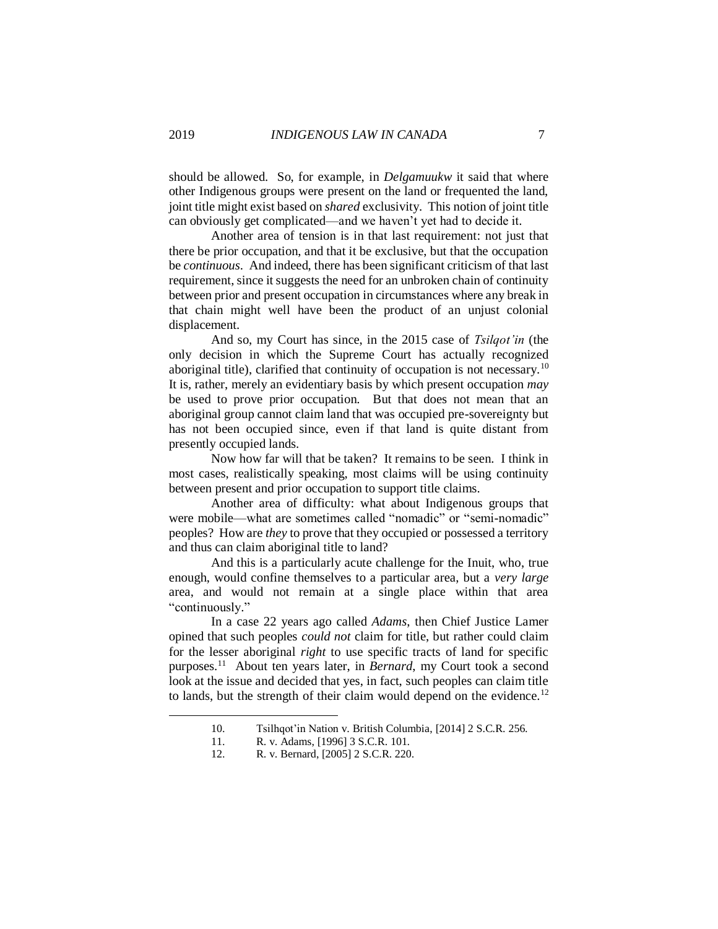should be allowed. So, for example, in *Delgamuukw* it said that where other Indigenous groups were present on the land or frequented the land, joint title might exist based on *shared* exclusivity. This notion of joint title can obviously get complicated—and we haven't yet had to decide it.

Another area of tension is in that last requirement: not just that there be prior occupation, and that it be exclusive, but that the occupation be *continuous*. And indeed, there has been significant criticism of that last requirement, since it suggests the need for an unbroken chain of continuity between prior and present occupation in circumstances where any break in that chain might well have been the product of an unjust colonial displacement.

And so, my Court has since, in the 2015 case of *Tsilqot'in* (the only decision in which the Supreme Court has actually recognized aboriginal title), clarified that continuity of occupation is not necessary.<sup>10</sup> It is, rather, merely an evidentiary basis by which present occupation *may* be used to prove prior occupation. But that does not mean that an aboriginal group cannot claim land that was occupied pre-sovereignty but has not been occupied since, even if that land is quite distant from presently occupied lands.

Now how far will that be taken? It remains to be seen. I think in most cases, realistically speaking, most claims will be using continuity between present and prior occupation to support title claims.

Another area of difficulty: what about Indigenous groups that were mobile—what are sometimes called "nomadic" or "semi-nomadic" peoples? How are *they* to prove that they occupied or possessed a territory and thus can claim aboriginal title to land?

And this is a particularly acute challenge for the Inuit, who, true enough, would confine themselves to a particular area, but a *very large* area, and would not remain at a single place within that area "continuously."

In a case 22 years ago called *Adams*, then Chief Justice Lamer opined that such peoples *could not* claim for title, but rather could claim for the lesser aboriginal *right* to use specific tracts of land for specific purposes.<sup>11</sup> About ten years later, in *Bernard*, my Court took a second look at the issue and decided that yes, in fact, such peoples can claim title to lands, but the strength of their claim would depend on the evidence.<sup>12</sup>

<sup>10.</sup> Tsilhqot'in Nation v. British Columbia, [2014] 2 S.C.R. 256.

R. v. Adams, [1996] 3 S.C.R. 101.

<sup>12.</sup> R. v. Bernard, [2005] 2 S.C.R. 220.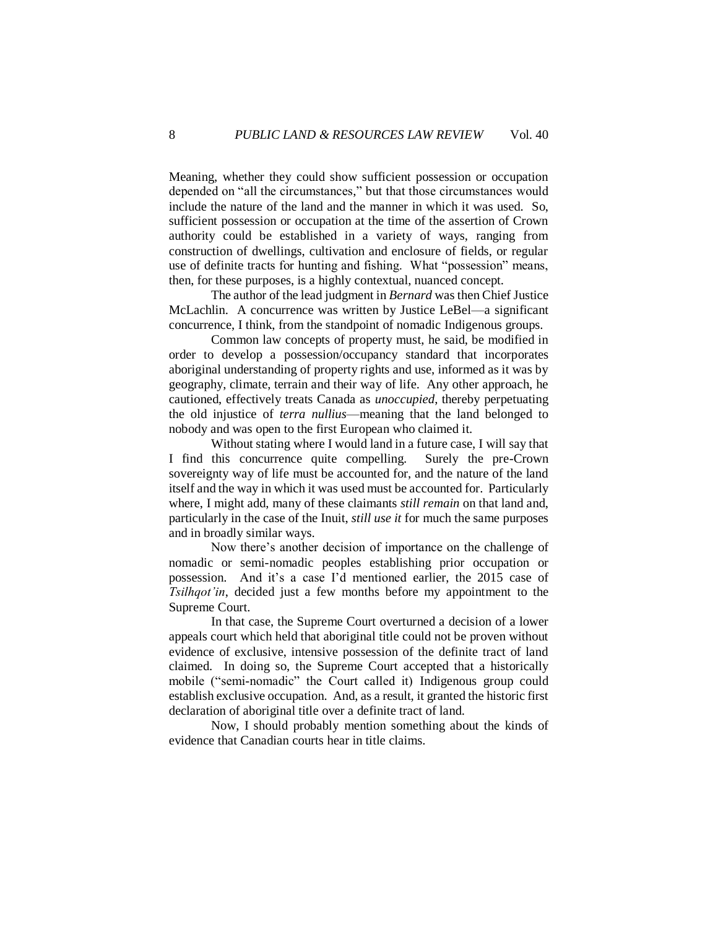Meaning, whether they could show sufficient possession or occupation depended on "all the circumstances," but that those circumstances would include the nature of the land and the manner in which it was used. So, sufficient possession or occupation at the time of the assertion of Crown authority could be established in a variety of ways, ranging from construction of dwellings, cultivation and enclosure of fields, or regular use of definite tracts for hunting and fishing. What "possession" means, then, for these purposes, is a highly contextual, nuanced concept.

The author of the lead judgment in *Bernard* was then Chief Justice McLachlin. A concurrence was written by Justice LeBel—a significant concurrence, I think, from the standpoint of nomadic Indigenous groups.

Common law concepts of property must, he said, be modified in order to develop a possession/occupancy standard that incorporates aboriginal understanding of property rights and use, informed as it was by geography, climate, terrain and their way of life. Any other approach, he cautioned, effectively treats Canada as *unoccupied*, thereby perpetuating the old injustice of *terra nullius*—meaning that the land belonged to nobody and was open to the first European who claimed it.

Without stating where I would land in a future case, I will say that I find this concurrence quite compelling. Surely the pre-Crown sovereignty way of life must be accounted for, and the nature of the land itself and the way in which it was used must be accounted for. Particularly where, I might add, many of these claimants *still remain* on that land and, particularly in the case of the Inuit, *still use it* for much the same purposes and in broadly similar ways.

Now there's another decision of importance on the challenge of nomadic or semi-nomadic peoples establishing prior occupation or possession. And it's a case I'd mentioned earlier, the 2015 case of *Tsilhqot'in*, decided just a few months before my appointment to the Supreme Court.

In that case, the Supreme Court overturned a decision of a lower appeals court which held that aboriginal title could not be proven without evidence of exclusive, intensive possession of the definite tract of land claimed. In doing so, the Supreme Court accepted that a historically mobile ("semi-nomadic" the Court called it) Indigenous group could establish exclusive occupation. And, as a result, it granted the historic first declaration of aboriginal title over a definite tract of land.

Now, I should probably mention something about the kinds of evidence that Canadian courts hear in title claims.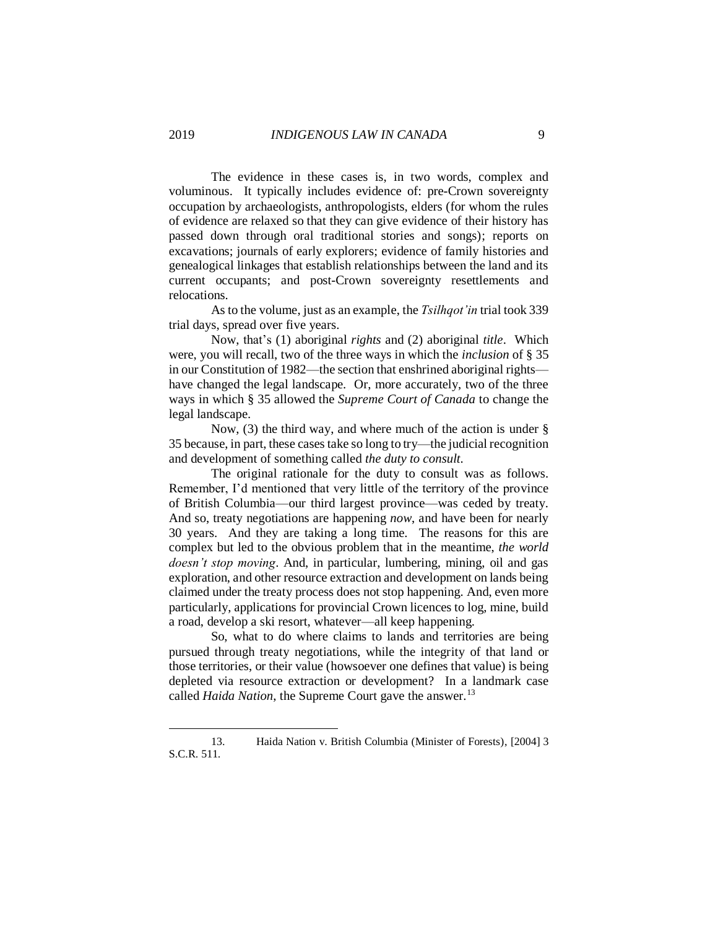The evidence in these cases is, in two words, complex and voluminous. It typically includes evidence of: pre-Crown sovereignty occupation by archaeologists, anthropologists, elders (for whom the rules of evidence are relaxed so that they can give evidence of their history has passed down through oral traditional stories and songs); reports on excavations; journals of early explorers; evidence of family histories and genealogical linkages that establish relationships between the land and its current occupants; and post-Crown sovereignty resettlements and relocations.

As to the volume, just as an example, the *Tsilhqot'in* trial took 339 trial days, spread over five years.

Now, that's (1) aboriginal *rights* and (2) aboriginal *title*. Which were, you will recall, two of the three ways in which the *inclusion* of § 35 in our Constitution of 1982—the section that enshrined aboriginal rights have changed the legal landscape. Or, more accurately, two of the three ways in which § 35 allowed the *Supreme Court of Canada* to change the legal landscape.

Now, (3) the third way, and where much of the action is under § 35 because, in part, these cases take so long to try—the judicial recognition and development of something called *the duty to consult*.

The original rationale for the duty to consult was as follows. Remember, I'd mentioned that very little of the territory of the province of British Columbia—our third largest province—was ceded by treaty. And so, treaty negotiations are happening *now*, and have been for nearly 30 years. And they are taking a long time. The reasons for this are complex but led to the obvious problem that in the meantime, *the world doesn't stop moving*. And, in particular, lumbering, mining, oil and gas exploration, and other resource extraction and development on lands being claimed under the treaty process does not stop happening. And, even more particularly, applications for provincial Crown licences to log, mine, build a road, develop a ski resort, whatever—all keep happening.

So, what to do where claims to lands and territories are being pursued through treaty negotiations, while the integrity of that land or those territories, or their value (howsoever one defines that value) is being depleted via resource extraction or development? In a landmark case called *Haida Nation*, the Supreme Court gave the answer.<sup>13</sup>

<sup>13.</sup> Haida Nation v. British Columbia (Minister of Forests), [2004] 3 S.C.R. 511.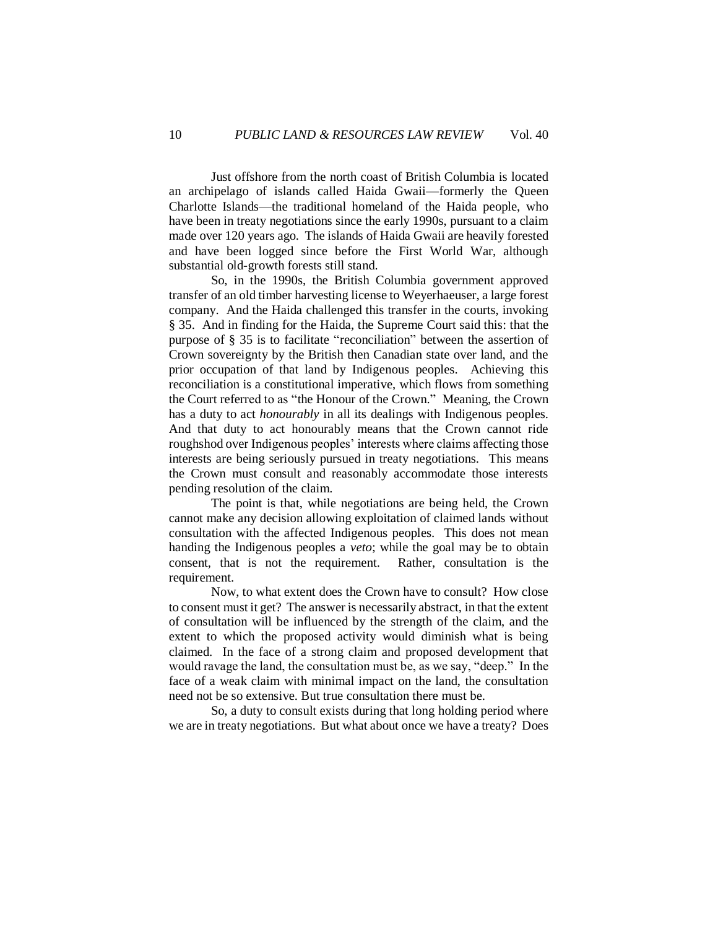Just offshore from the north coast of British Columbia is located an archipelago of islands called Haida Gwaii—formerly the Queen Charlotte Islands—the traditional homeland of the Haida people, who have been in treaty negotiations since the early 1990s, pursuant to a claim made over 120 years ago. The islands of Haida Gwaii are heavily forested and have been logged since before the First World War, although substantial old-growth forests still stand.

So, in the 1990s, the British Columbia government approved transfer of an old timber harvesting license to Weyerhaeuser, a large forest company. And the Haida challenged this transfer in the courts, invoking § 35. And in finding for the Haida, the Supreme Court said this: that the purpose of § 35 is to facilitate "reconciliation" between the assertion of Crown sovereignty by the British then Canadian state over land, and the prior occupation of that land by Indigenous peoples. Achieving this reconciliation is a constitutional imperative, which flows from something the Court referred to as "the Honour of the Crown." Meaning, the Crown has a duty to act *honourably* in all its dealings with Indigenous peoples. And that duty to act honourably means that the Crown cannot ride roughshod over Indigenous peoples' interests where claims affecting those interests are being seriously pursued in treaty negotiations. This means the Crown must consult and reasonably accommodate those interests pending resolution of the claim.

The point is that, while negotiations are being held, the Crown cannot make any decision allowing exploitation of claimed lands without consultation with the affected Indigenous peoples. This does not mean handing the Indigenous peoples a *veto*; while the goal may be to obtain consent, that is not the requirement. Rather, consultation is the requirement.

Now, to what extent does the Crown have to consult? How close to consent must it get? The answer is necessarily abstract, in that the extent of consultation will be influenced by the strength of the claim, and the extent to which the proposed activity would diminish what is being claimed. In the face of a strong claim and proposed development that would ravage the land, the consultation must be, as we say, "deep." In the face of a weak claim with minimal impact on the land, the consultation need not be so extensive. But true consultation there must be.

So, a duty to consult exists during that long holding period where we are in treaty negotiations. But what about once we have a treaty? Does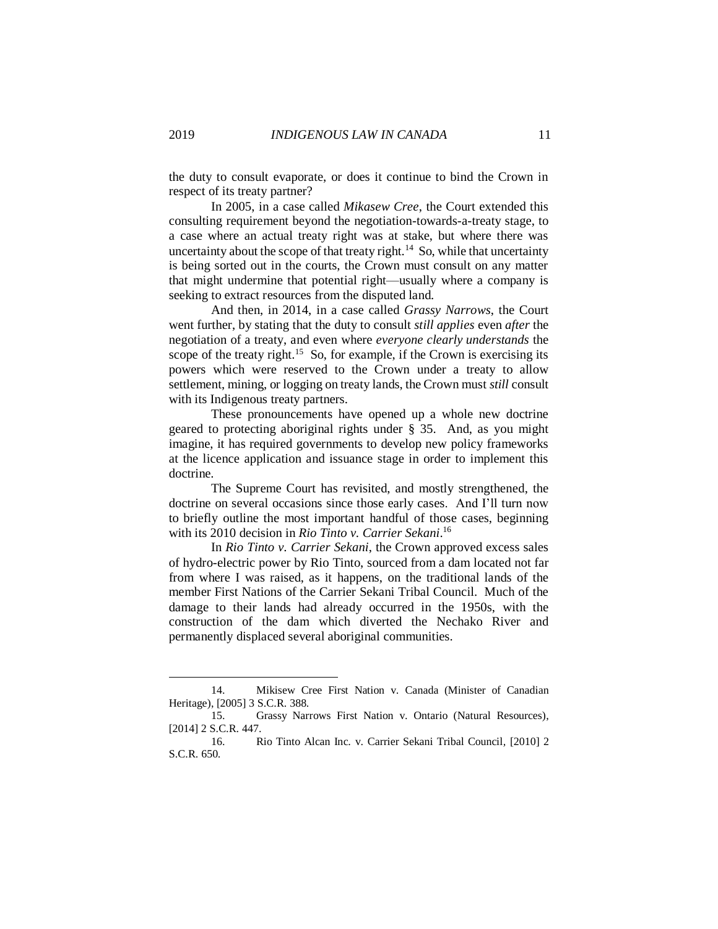the duty to consult evaporate, or does it continue to bind the Crown in respect of its treaty partner?

In 2005, in a case called *Mikasew Cree*, the Court extended this consulting requirement beyond the negotiation-towards-a-treaty stage, to a case where an actual treaty right was at stake, but where there was uncertainty about the scope of that treaty right. $14$  So, while that uncertainty is being sorted out in the courts, the Crown must consult on any matter that might undermine that potential right—usually where a company is seeking to extract resources from the disputed land.

And then, in 2014, in a case called *Grassy Narrows*, the Court went further, by stating that the duty to consult *still applies* even *after* the negotiation of a treaty, and even where *everyone clearly understands* the scope of the treaty right.<sup>15</sup> So, for example, if the Crown is exercising its powers which were reserved to the Crown under a treaty to allow settlement, mining, or logging on treaty lands, the Crown must *still* consult with its Indigenous treaty partners.

These pronouncements have opened up a whole new doctrine geared to protecting aboriginal rights under § 35. And, as you might imagine, it has required governments to develop new policy frameworks at the licence application and issuance stage in order to implement this doctrine.

The Supreme Court has revisited, and mostly strengthened, the doctrine on several occasions since those early cases. And I'll turn now to briefly outline the most important handful of those cases, beginning with its 2010 decision in *Rio Tinto v. Carrier Sekani*. 16

In *Rio Tinto v. Carrier Sekani*, the Crown approved excess sales of hydro-electric power by Rio Tinto, sourced from a dam located not far from where I was raised, as it happens, on the traditional lands of the member First Nations of the Carrier Sekani Tribal Council. Much of the damage to their lands had already occurred in the 1950s, with the construction of the dam which diverted the Nechako River and permanently displaced several aboriginal communities.

<sup>14.</sup> Mikisew Cree First Nation v. Canada (Minister of Canadian Heritage), [2005] 3 S.C.R. 388.

<sup>15.</sup> Grassy Narrows First Nation v. Ontario (Natural Resources), [2014] 2 S.C.R. 447.

<sup>16.</sup> Rio Tinto Alcan Inc. v. Carrier Sekani Tribal Council*,* [2010] 2 S.C.R. 650.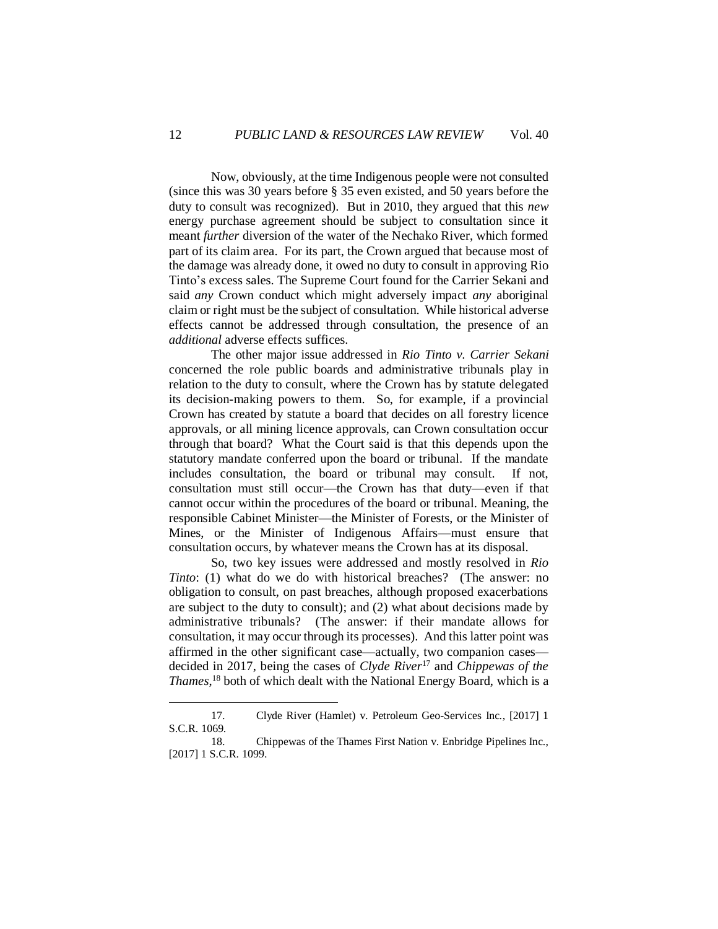Now, obviously, at the time Indigenous people were not consulted (since this was 30 years before § 35 even existed, and 50 years before the duty to consult was recognized). But in 2010, they argued that this *new* energy purchase agreement should be subject to consultation since it meant *further* diversion of the water of the Nechako River, which formed part of its claim area. For its part, the Crown argued that because most of the damage was already done, it owed no duty to consult in approving Rio Tinto's excess sales. The Supreme Court found for the Carrier Sekani and said *any* Crown conduct which might adversely impact *any* aboriginal claim or right must be the subject of consultation. While historical adverse effects cannot be addressed through consultation, the presence of an *additional* adverse effects suffices.

The other major issue addressed in *Rio Tinto v. Carrier Sekani* concerned the role public boards and administrative tribunals play in relation to the duty to consult, where the Crown has by statute delegated its decision-making powers to them. So, for example, if a provincial Crown has created by statute a board that decides on all forestry licence approvals, or all mining licence approvals, can Crown consultation occur through that board? What the Court said is that this depends upon the statutory mandate conferred upon the board or tribunal. If the mandate includes consultation, the board or tribunal may consult. If not, consultation must still occur—the Crown has that duty—even if that cannot occur within the procedures of the board or tribunal. Meaning, the responsible Cabinet Minister—the Minister of Forests, or the Minister of Mines, or the Minister of Indigenous Affairs—must ensure that consultation occurs, by whatever means the Crown has at its disposal.

So, two key issues were addressed and mostly resolved in *Rio Tinto*: (1) what do we do with historical breaches? (The answer: no obligation to consult, on past breaches, although proposed exacerbations are subject to the duty to consult); and (2) what about decisions made by administrative tribunals? (The answer: if their mandate allows for consultation, it may occur through its processes). And this latter point was affirmed in the other significant case—actually, two companion cases decided in 2017, being the cases of *Clyde River*<sup>17</sup> and *Chippewas of the Thames*, <sup>18</sup> both of which dealt with the National Energy Board, which is a

<sup>17.</sup> Clyde River (Hamlet) v. Petroleum Geo-Services Inc*.*, [2017] 1 S.C.R. 1069.

<sup>18.</sup> Chippewas of the Thames First Nation v. Enbridge Pipelines Inc., [2017] 1 S.C.R. 1099.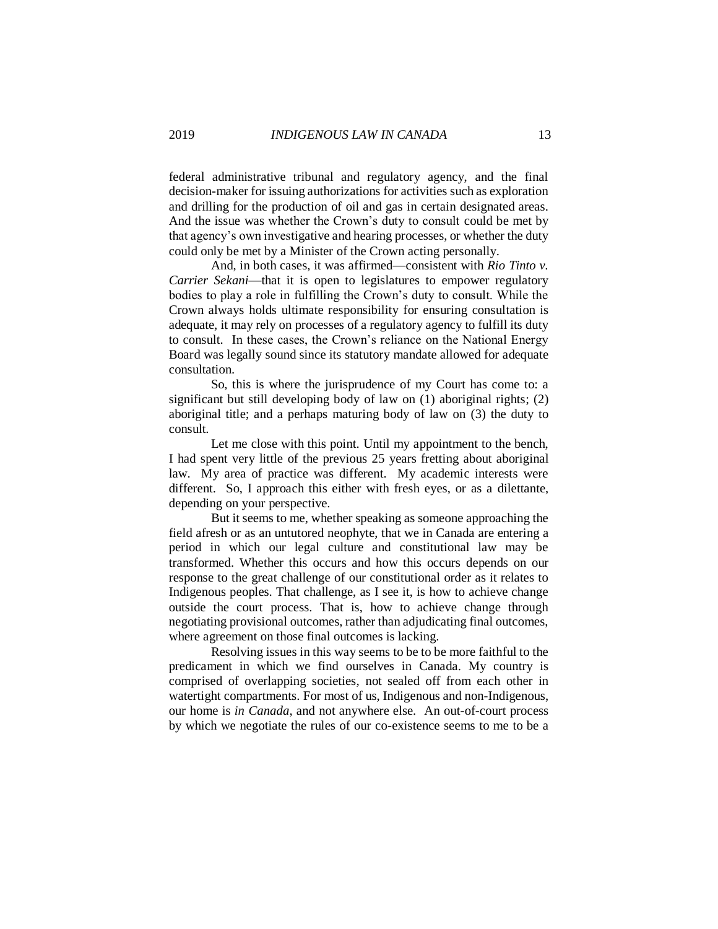federal administrative tribunal and regulatory agency, and the final decision-maker for issuing authorizations for activities such as exploration and drilling for the production of oil and gas in certain designated areas. And the issue was whether the Crown's duty to consult could be met by that agency's own investigative and hearing processes, or whether the duty could only be met by a Minister of the Crown acting personally.

And, in both cases, it was affirmed—consistent with *Rio Tinto v. Carrier Sekani*—that it is open to legislatures to empower regulatory bodies to play a role in fulfilling the Crown's duty to consult. While the Crown always holds ultimate responsibility for ensuring consultation is adequate, it may rely on processes of a regulatory agency to fulfill its duty to consult. In these cases, the Crown's reliance on the National Energy Board was legally sound since its statutory mandate allowed for adequate consultation.

So, this is where the jurisprudence of my Court has come to: a significant but still developing body of law on (1) aboriginal rights; (2) aboriginal title; and a perhaps maturing body of law on (3) the duty to consult.

Let me close with this point. Until my appointment to the bench, I had spent very little of the previous 25 years fretting about aboriginal law. My area of practice was different. My academic interests were different. So, I approach this either with fresh eyes, or as a dilettante, depending on your perspective.

But it seems to me, whether speaking as someone approaching the field afresh or as an untutored neophyte, that we in Canada are entering a period in which our legal culture and constitutional law may be transformed. Whether this occurs and how this occurs depends on our response to the great challenge of our constitutional order as it relates to Indigenous peoples. That challenge, as I see it, is how to achieve change outside the court process. That is, how to achieve change through negotiating provisional outcomes, rather than adjudicating final outcomes, where agreement on those final outcomes is lacking.

Resolving issues in this way seems to be to be more faithful to the predicament in which we find ourselves in Canada. My country is comprised of overlapping societies, not sealed off from each other in watertight compartments. For most of us, Indigenous and non-Indigenous, our home is *in Canada*, and not anywhere else. An out-of-court process by which we negotiate the rules of our co-existence seems to me to be a